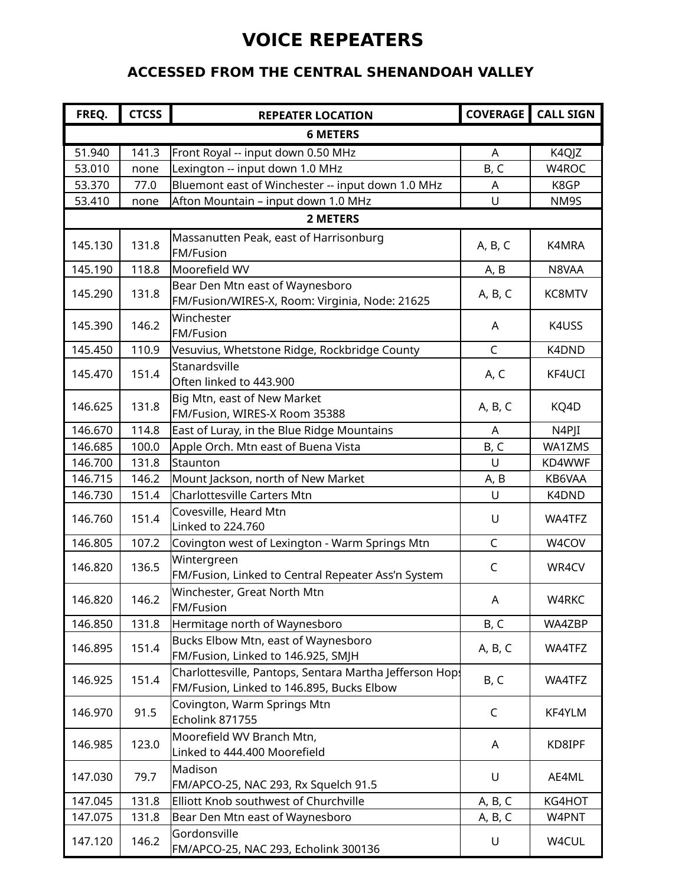### **VOICE REPEATERS**

#### **ACCESSED FROM THE CENTRAL SHENANDOAH VALLEY**

| FREQ.           | <b>CTCSS</b> | <b>REPEATER LOCATION</b>                                                                             |              | <b>COVERAGE</b> CALL SIGN |  |  |  |  |
|-----------------|--------------|------------------------------------------------------------------------------------------------------|--------------|---------------------------|--|--|--|--|
| <b>6 METERS</b> |              |                                                                                                      |              |                           |  |  |  |  |
| 51.940          | 141.3        | Front Royal -- input down 0.50 MHz                                                                   | A            | K4QJZ                     |  |  |  |  |
| 53.010          | none         | Lexington -- input down 1.0 MHz                                                                      | B, C         | W4ROC                     |  |  |  |  |
| 53.370          | 77.0         | Bluemont east of Winchester -- input down 1.0 MHz                                                    | A            | K8GP                      |  |  |  |  |
| 53.410          | none         | Afton Mountain - input down 1.0 MHz                                                                  | U            | NM9S                      |  |  |  |  |
|                 |              | 2 METERS                                                                                             |              |                           |  |  |  |  |
| 145.130         | 131.8        | Massanutten Peak, east of Harrisonburg<br><b>FM/Fusion</b>                                           | A, B, C      | K4MRA                     |  |  |  |  |
| 145.190         | 118.8        | Moorefield WV                                                                                        | A, B         | N8VAA                     |  |  |  |  |
| 145.290         | 131.8        | Bear Den Mtn east of Waynesboro<br>FM/Fusion/WIRES-X, Room: Virginia, Node: 21625                    | A, B, C      | KC8MTV                    |  |  |  |  |
| 145.390         | 146.2        | Winchester<br><b>FM/Fusion</b>                                                                       | A            | K4USS                     |  |  |  |  |
| 145.450         | 110.9        | Vesuvius, Whetstone Ridge, Rockbridge County                                                         | $\mathsf C$  | K4DND                     |  |  |  |  |
| 145.470         | 151.4        | Stanardsville<br>Often linked to 443.900                                                             | A, C         | KF4UCI                    |  |  |  |  |
| 146.625         | 131.8        | Big Mtn, east of New Market<br>FM/Fusion, WIRES-X Room 35388                                         | A, B, C      | KQ4D                      |  |  |  |  |
| 146.670         | 114.8        | East of Luray, in the Blue Ridge Mountains                                                           | A            | N4PJI                     |  |  |  |  |
| 146.685         | 100.0        | Apple Orch. Mtn east of Buena Vista                                                                  | B, C         | WA1ZMS                    |  |  |  |  |
| 146.700         | 131.8        | Staunton                                                                                             | $\cup$       | KD4WWF                    |  |  |  |  |
| 146.715         | 146.2        | Mount Jackson, north of New Market                                                                   | A, B         | KB6VAA                    |  |  |  |  |
| 146.730         | 151.4        | <b>Charlottesville Carters Mtn</b>                                                                   | $\cup$       | K4DND                     |  |  |  |  |
| 146.760         | 151.4        | Covesville, Heard Mtn<br>Linked to 224.760                                                           | U            | WA4TFZ                    |  |  |  |  |
| 146.805         | 107.2        | Covington west of Lexington - Warm Springs Mtn                                                       | $\mathsf C$  | W4COV                     |  |  |  |  |
| 146.820         | 136.5        | Wintergreen<br>FM/Fusion, Linked to Central Repeater Ass'n System                                    | C            | WR4CV                     |  |  |  |  |
| 146.820         | 146.2        | Winchester, Great North Mtn<br>FM/Fusion                                                             | A            | W4RKC                     |  |  |  |  |
| 146.850         | 131.8        | Hermitage north of Waynesboro                                                                        | B, C         | WA4ZBP                    |  |  |  |  |
| 146.895         | 151.4        | Bucks Elbow Mtn, east of Waynesboro<br>FM/Fusion, Linked to 146.925, SMJH                            | A, B, C      | WA4TFZ                    |  |  |  |  |
| 146.925         | 151.4        | Charlottesville, Pantops, Sentara Martha Jefferson Hops<br>FM/Fusion, Linked to 146.895, Bucks Elbow | B, C         | WA4TFZ                    |  |  |  |  |
| 146.970         | 91.5         | Covington, Warm Springs Mtn<br>Echolink 871755                                                       | $\mathsf{C}$ | KF4YLM                    |  |  |  |  |
| 146.985         | 123.0        | Moorefield WV Branch Mtn,<br>Linked to 444.400 Moorefield                                            | A            | KD8IPF                    |  |  |  |  |
| 147.030         | 79.7         | Madison<br>FM/APCO-25, NAC 293, Rx Squelch 91.5                                                      | U            | AE4ML                     |  |  |  |  |
| 147.045         | 131.8        | Elliott Knob southwest of Churchville                                                                | A, B, C      | KG4HOT                    |  |  |  |  |
| 147.075         | 131.8        | Bear Den Mtn east of Waynesboro                                                                      | A, B, C      | W4PNT                     |  |  |  |  |
| 147.120         | 146.2        | Gordonsville<br>FM/APCO-25, NAC 293, Echolink 300136                                                 | U            | W4CUL                     |  |  |  |  |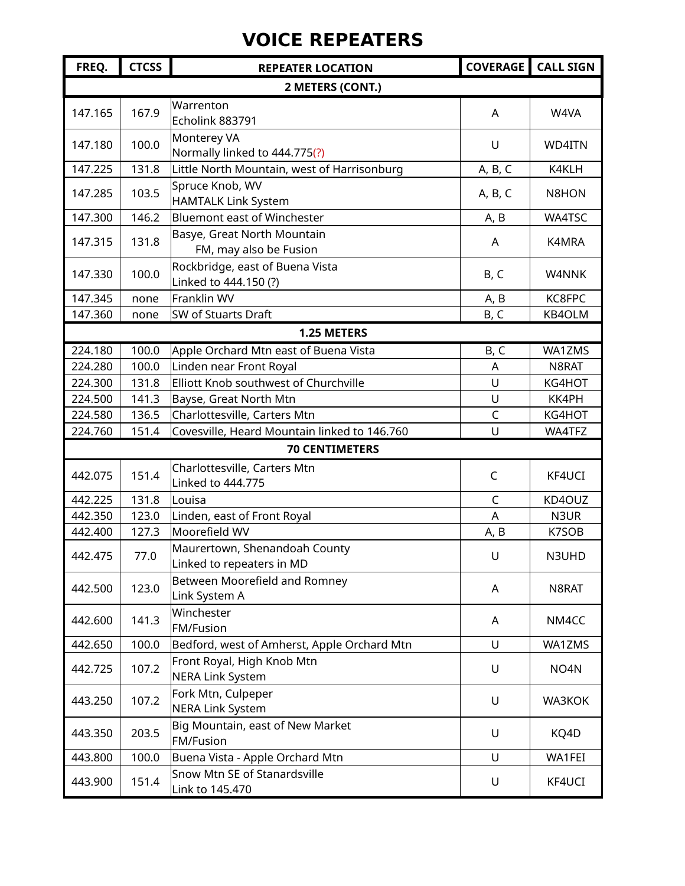# **VOICE REPEATERS**

| FREQ.   | <b>CTCSS</b>     | <b>REPEATER LOCATION</b>                                   |                | <b>COVERAGE</b> CALL SIGN |  |  |  |  |
|---------|------------------|------------------------------------------------------------|----------------|---------------------------|--|--|--|--|
|         | 2 METERS (CONT.) |                                                            |                |                           |  |  |  |  |
| 147.165 | 167.9            | Warrenton<br>Echolink 883791                               | A              | W4VA                      |  |  |  |  |
| 147.180 | 100.0            | Monterey VA<br>Normally linked to 444.775(?)               | $\cup$         | WD4ITN                    |  |  |  |  |
| 147.225 | 131.8            | Little North Mountain, west of Harrisonburg                | A, B, C        | K4KLH                     |  |  |  |  |
| 147.285 | 103.5            | Spruce Knob, WV<br>HAMTALK Link System                     | A, B, C        | N8HON                     |  |  |  |  |
| 147.300 | 146.2            | <b>Bluemont east of Winchester</b>                         | A, B           | WA4TSC                    |  |  |  |  |
| 147.315 | 131.8            | Basye, Great North Mountain<br>FM, may also be Fusion      | A              | K4MRA                     |  |  |  |  |
| 147.330 | 100.0            | Rockbridge, east of Buena Vista<br>Linked to 444.150 (?)   | B, C           | W4NNK                     |  |  |  |  |
| 147.345 | none             | Franklin WV                                                | A, B           | KC8FPC                    |  |  |  |  |
| 147.360 | none             | SW of Stuarts Draft                                        | B, C           | KB4OLM                    |  |  |  |  |
|         |                  | 1.25 METERS                                                |                |                           |  |  |  |  |
| 224.180 | 100.0            | Apple Orchard Mtn east of Buena Vista                      | B, C           | WA1ZMS                    |  |  |  |  |
| 224.280 | 100.0            | Linden near Front Royal                                    | A              | N8RAT                     |  |  |  |  |
| 224.300 | 131.8            | Elliott Knob southwest of Churchville                      | U              | KG4HOT                    |  |  |  |  |
| 224.500 | 141.3            | Bayse, Great North Mtn                                     | U              | KK4PH                     |  |  |  |  |
| 224.580 | 136.5            | Charlottesville, Carters Mtn                               | $\overline{C}$ | KG4HOT                    |  |  |  |  |
| 224.760 | 151.4            | Covesville, Heard Mountain linked to 146.760               | $\cup$         | WA4TFZ                    |  |  |  |  |
|         |                  | <b>70 CENTIMETERS</b>                                      |                |                           |  |  |  |  |
| 442.075 | 151.4            | Charlottesville, Carters Mtn<br>Linked to 444.775          | C              | KF4UCI                    |  |  |  |  |
| 442.225 | 131.8            | Louisa                                                     | $\mathsf{C}$   | KD4OUZ                    |  |  |  |  |
| 442.350 | 123.0            | Linden, east of Front Royal                                | A              | N3UR                      |  |  |  |  |
| 442.400 | 127.3            | Moorefield WV                                              | A, B           | K7SOB                     |  |  |  |  |
| 442.475 | 77.0             | Maurertown, Shenandoah County<br>Linked to repeaters in MD | U              | N3UHD                     |  |  |  |  |
| 442.500 | 123.0            | Between Moorefield and Romney<br>Link System A             | A              | N8RAT                     |  |  |  |  |
| 442.600 | 141.3            | Winchester<br><b>FM/Fusion</b>                             | A              | NM4CC                     |  |  |  |  |
| 442.650 | 100.0            | Bedford, west of Amherst, Apple Orchard Mtn                | U              | WA1ZMS                    |  |  |  |  |
| 442.725 | 107.2            | Front Royal, High Knob Mtn<br>NERA Link System             | U              | NO <sub>4</sub> N         |  |  |  |  |
| 443.250 | 107.2            | Fork Mtn, Culpeper<br>NERA Link System                     | U              | WA3KOK                    |  |  |  |  |
| 443.350 | 203.5            | Big Mountain, east of New Market<br><b>FM/Fusion</b>       | $\cup$         | KQ4D                      |  |  |  |  |
| 443.800 | 100.0            | Buena Vista - Apple Orchard Mtn                            | U              | WA1FEI                    |  |  |  |  |
| 443.900 | 151.4            | Snow Mtn SE of Stanardsville<br>Link to 145.470            | U              | KF4UCI                    |  |  |  |  |